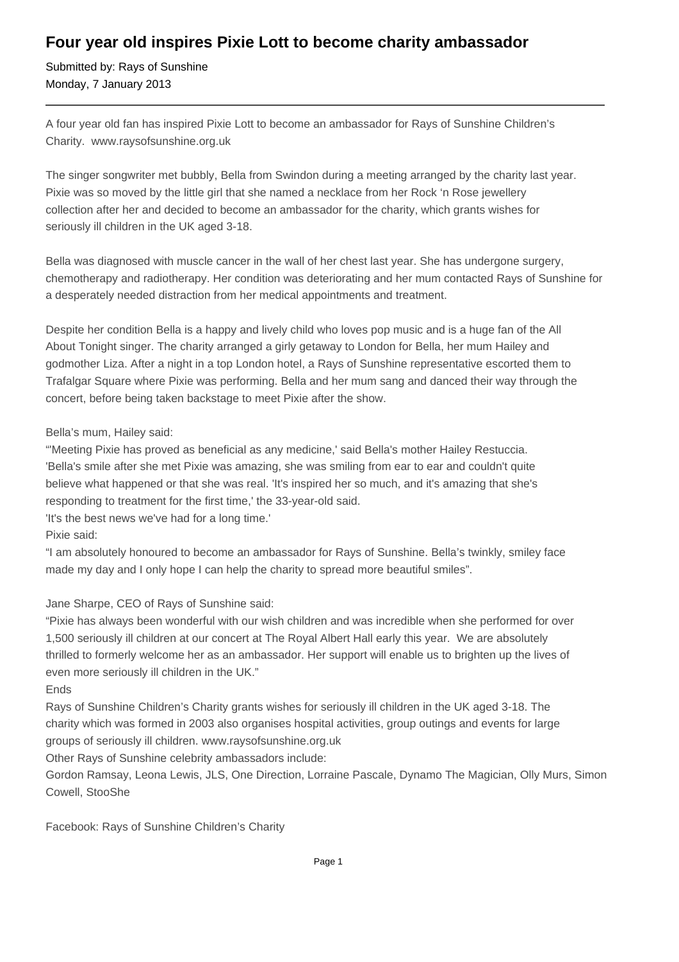## **Four year old inspires Pixie Lott to become charity ambassador**

Submitted by: Rays of Sunshine Monday, 7 January 2013

A four year old fan has inspired Pixie Lott to become an ambassador for Rays of Sunshine Children's Charity. www.raysofsunshine.org.uk

The singer songwriter met bubbly, Bella from Swindon during a meeting arranged by the charity last year. Pixie was so moved by the little girl that she named a necklace from her Rock 'n Rose jewellery collection after her and decided to become an ambassador for the charity, which grants wishes for seriously ill children in the UK aged 3-18.

Bella was diagnosed with muscle cancer in the wall of her chest last year. She has undergone surgery, chemotherapy and radiotherapy. Her condition was deteriorating and her mum contacted Rays of Sunshine for a desperately needed distraction from her medical appointments and treatment.

Despite her condition Bella is a happy and lively child who loves pop music and is a huge fan of the All About Tonight singer. The charity arranged a girly getaway to London for Bella, her mum Hailey and godmother Liza. After a night in a top London hotel, a Rays of Sunshine representative escorted them to Trafalgar Square where Pixie was performing. Bella and her mum sang and danced their way through the concert, before being taken backstage to meet Pixie after the show.

Bella's mum, Hailey said:

"'Meeting Pixie has proved as beneficial as any medicine,' said Bella's mother Hailey Restuccia. 'Bella's smile after she met Pixie was amazing, she was smiling from ear to ear and couldn't quite believe what happened or that she was real. 'It's inspired her so much, and it's amazing that she's responding to treatment for the first time,' the 33-year-old said.

'It's the best news we've had for a long time.'

Pixie said:

"I am absolutely honoured to become an ambassador for Rays of Sunshine. Bella's twinkly, smiley face made my day and I only hope I can help the charity to spread more beautiful smiles".

Jane Sharpe, CEO of Rays of Sunshine said:

"Pixie has always been wonderful with our wish children and was incredible when she performed for over 1,500 seriously ill children at our concert at The Royal Albert Hall early this year. We are absolutely thrilled to formerly welcome her as an ambassador. Her support will enable us to brighten up the lives of even more seriously ill children in the UK."

Ends

Rays of Sunshine Children's Charity grants wishes for seriously ill children in the UK aged 3-18. The charity which was formed in 2003 also organises hospital activities, group outings and events for large groups of seriously ill children. www.raysofsunshine.org.uk

Other Rays of Sunshine celebrity ambassadors include:

Gordon Ramsay, Leona Lewis, JLS, One Direction, Lorraine Pascale, Dynamo The Magician, Olly Murs, Simon Cowell, StooShe

Facebook: Rays of Sunshine Children's Charity